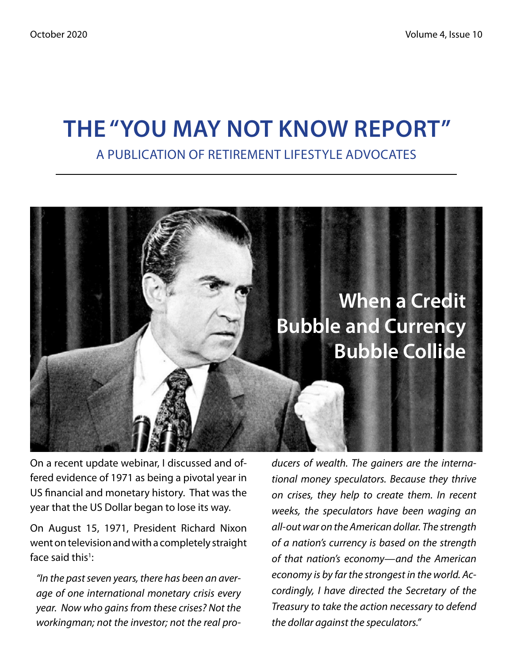# **The "You May Not Know Report"** A Publication of Retirement Lifestyle Advocates



On a recent update webinar, I discussed and offered evidence of 1971 as being a pivotal year in US financial and monetary history. That was the year that the US Dollar began to lose its way.

On August 15, 1971, President Richard Nixon went on television and with a completely straight face said this<sup>1</sup>:

*"In the past seven years, there has been an average of one international monetary crisis every year. Now who gains from these crises? Not the workingman; not the investor; not the real pro-* *ducers of wealth. The gainers are the international money speculators. Because they thrive on crises, they help to create them. In recent weeks, the speculators have been waging an all-out war on the American dollar. The strength of a nation's currency is based on the strength of that nation's economy—and the American economy is by far the strongest in the world. Accordingly, I have directed the Secretary of the Treasury to take the action necessary to defend the dollar against the speculators."*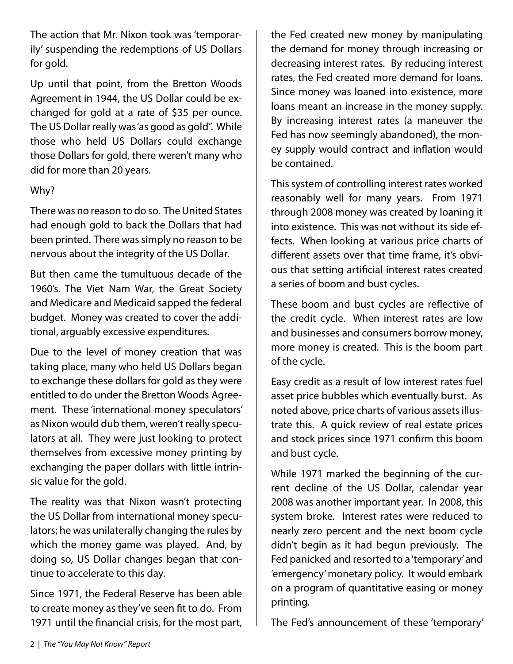The action that Mr. Nixon took was 'temporarily' suspending the redemptions of US Dollars for gold.

Up until that point, from the Bretton Woods Agreement in 1944, the US Dollar could be exchanged for gold at a rate of \$35 per ounce. The US Dollar really was 'as good as gold". While those who held US Dollars could exchange those Dollars for gold, there weren't many who did for more than 20 years.

#### Why?

There was no reason to do so. The United States had enough gold to back the Dollars that had been printed. There was simply no reason to be nervous about the integrity of the US Dollar.

But then came the tumultuous decade of the 1960's. The Viet Nam War, the Great Society and Medicare and Medicaid sapped the federal budget. Money was created to cover the additional, arguably excessive expenditures.

Due to the level of money creation that was taking place, many who held US Dollars began to exchange these dollars for gold as they were entitled to do under the Bretton Woods Agreement. These 'international money speculators' as Nixon would dub them, weren't really speculators at all. They were just looking to protect themselves from excessive money printing by exchanging the paper dollars with little intrinsic value for the gold.

The reality was that Nixon wasn't protecting the US Dollar from international money speculators; he was unilaterally changing the rules by which the money game was played. And, by doing so, US Dollar changes began that continue to accelerate to this day.

Since 1971, the Federal Reserve has been able to create money as they've seen fit to do. From 1971 until the financial crisis, for the most part, the Fed created new money by manipulating the demand for money through increasing or decreasing interest rates. By reducing interest rates, the Fed created more demand for loans. Since money was loaned into existence, more loans meant an increase in the money supply. By increasing interest rates (a maneuver the Fed has now seemingly abandoned), the money supply would contract and inflation would be contained.

This system of controlling interest rates worked reasonably well for many years. From 1971 through 2008 money was created by loaning it into existence. This was not without its side effects. When looking at various price charts of different assets over that time frame, it's obvious that setting artificial interest rates created a series of boom and bust cycles.

These boom and bust cycles are reflective of the credit cycle. When interest rates are low and businesses and consumers borrow money, more money is created. This is the boom part of the cycle.

Easy credit as a result of low interest rates fuel asset price bubbles which eventually burst. As noted above, price charts of various assets illustrate this. A quick review of real estate prices and stock prices since 1971 confirm this boom and bust cycle.

While 1971 marked the beginning of the current decline of the US Dollar, calendar year 2008 was another important year. In 2008, this system broke. Interest rates were reduced to nearly zero percent and the next boom cycle didn't begin as it had begun previously. The Fed panicked and resorted to a 'temporary' and 'emergency' monetary policy. It would embark on a program of quantitative easing or money printing.

The Fed's announcement of these 'temporary'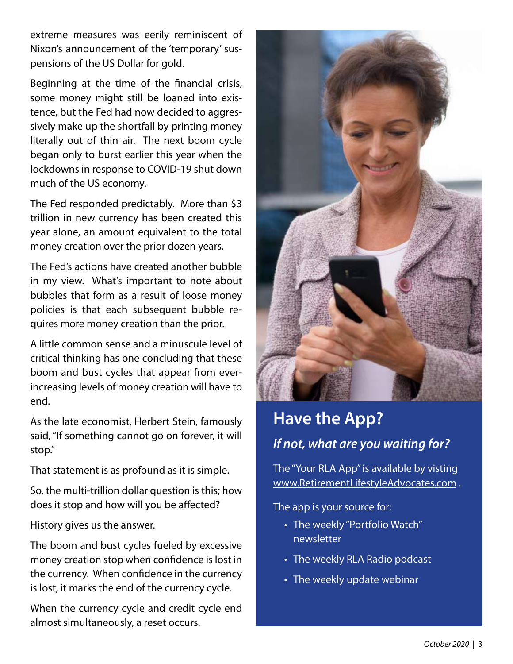extreme measures was eerily reminiscent of Nixon's announcement of the 'temporary' suspensions of the US Dollar for gold.

Beginning at the time of the financial crisis, some money might still be loaned into existence, but the Fed had now decided to aggressively make up the shortfall by printing money literally out of thin air. The next boom cycle began only to burst earlier this year when the lockdowns in response to COVID-19 shut down much of the US economy.

The Fed responded predictably. More than \$3 trillion in new currency has been created this year alone, an amount equivalent to the total money creation over the prior dozen years.

The Fed's actions have created another bubble in my view. What's important to note about bubbles that form as a result of loose money policies is that each subsequent bubble requires more money creation than the prior.

A little common sense and a minuscule level of critical thinking has one concluding that these boom and bust cycles that appear from everincreasing levels of money creation will have to end.

As the late economist, Herbert Stein, famously said, "If something cannot go on forever, it will stop."

That statement is as profound as it is simple.

So, the multi-trillion dollar question is this; how does it stop and how will you be affected?

History gives us the answer.

The boom and bust cycles fueled by excessive money creation stop when confidence is lost in the currency. When confidence in the currency is lost, it marks the end of the currency cycle.

When the currency cycle and credit cycle end almost simultaneously, a reset occurs.



# **Have the App?** *If not, what are you waiting for?*

The "Your RLA App" is available by visting www.RetirementLifestyleAdvocates.com .

The app is your source for:

- The weekly "Portfolio Watch" newsletter
- The weekly RLA Radio podcast
- The weekly update webinar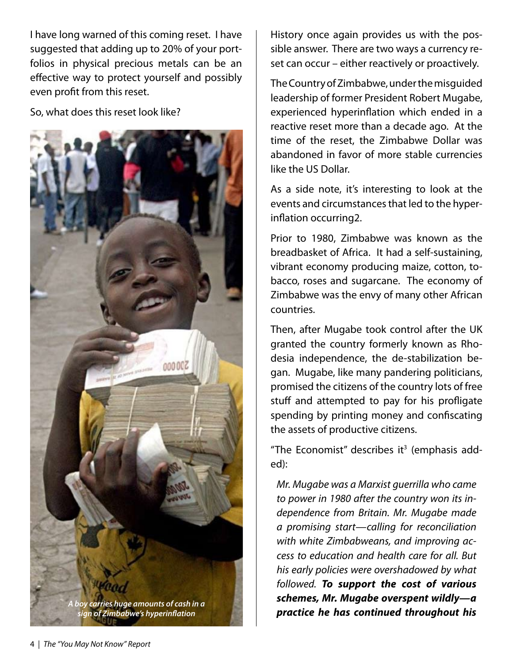I have long warned of this coming reset. I have suggested that adding up to 20% of your portfolios in physical precious metals can be an effective way to protect yourself and possibly even profit from this reset.

So, what does this reset look like?



History once again provides us with the possible answer. There are two ways a currency reset can occur – either reactively or proactively.

The Country of Zimbabwe, under the misguided leadership of former President Robert Mugabe, experienced hyperinflation which ended in a reactive reset more than a decade ago. At the time of the reset, the Zimbabwe Dollar was abandoned in favor of more stable currencies like the US Dollar.

As a side note, it's interesting to look at the events and circumstances that led to the hyperinflation occurring2.

Prior to 1980, Zimbabwe was known as the breadbasket of Africa. It had a self-sustaining, vibrant economy producing maize, cotton, tobacco, roses and sugarcane. The economy of Zimbabwe was the envy of many other African countries.

Then, after Mugabe took control after the UK granted the country formerly known as Rhodesia independence, the de-stabilization began. Mugabe, like many pandering politicians, promised the citizens of the country lots of free stuff and attempted to pay for his profligate spending by printing money and confiscating the assets of productive citizens.

"The Economist" describes it $3$  (emphasis added):

*Mr. Mugabe was a Marxist guerrilla who came to power in 1980 after the country won its independence from Britain. Mr. Mugabe made a promising start—calling for reconciliation with white Zimbabweans, and improving access to education and health care for all. But his early policies were overshadowed by what followed. To support the cost of various schemes, Mr. Mugabe overspent wildly—a practice he has continued throughout his A boy carries huge amounts of cash in a*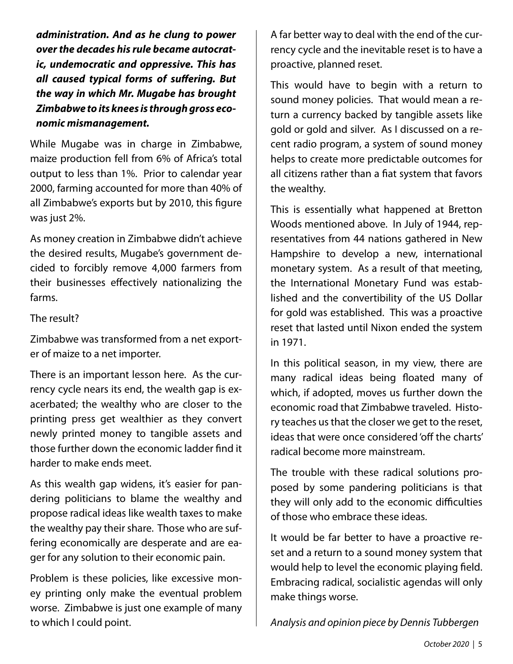*administration. And as he clung to power over the decades his rule became autocratic, undemocratic and oppressive. This has all caused typical forms of suffering. But the way in which Mr. Mugabe has brought Zimbabwe to its knees is through gross economic mismanagement.*

While Mugabe was in charge in Zimbabwe, maize production fell from 6% of Africa's total output to less than 1%. Prior to calendar year 2000, farming accounted for more than 40% of all Zimbabwe's exports but by 2010, this figure was just 2%.

As money creation in Zimbabwe didn't achieve the desired results, Mugabe's government decided to forcibly remove 4,000 farmers from their businesses effectively nationalizing the farms.

#### The result?

Zimbabwe was transformed from a net exporter of maize to a net importer.

There is an important lesson here. As the currency cycle nears its end, the wealth gap is exacerbated; the wealthy who are closer to the printing press get wealthier as they convert newly printed money to tangible assets and those further down the economic ladder find it harder to make ends meet.

As this wealth gap widens, it's easier for pandering politicians to blame the wealthy and propose radical ideas like wealth taxes to make the wealthy pay their share. Those who are suffering economically are desperate and are eager for any solution to their economic pain.

Problem is these policies, like excessive money printing only make the eventual problem worse. Zimbabwe is just one example of many to which I could point.

A far better way to deal with the end of the currency cycle and the inevitable reset is to have a proactive, planned reset.

This would have to begin with a return to sound money policies. That would mean a return a currency backed by tangible assets like gold or gold and silver. As I discussed on a recent radio program, a system of sound money helps to create more predictable outcomes for all citizens rather than a fiat system that favors the wealthy.

This is essentially what happened at Bretton Woods mentioned above. In July of 1944, representatives from 44 nations gathered in New Hampshire to develop a new, international monetary system. As a result of that meeting, the International Monetary Fund was established and the convertibility of the US Dollar for gold was established. This was a proactive reset that lasted until Nixon ended the system in 1971.

In this political season, in my view, there are many radical ideas being floated many of which, if adopted, moves us further down the economic road that Zimbabwe traveled. History teaches us that the closer we get to the reset, ideas that were once considered 'off the charts' radical become more mainstream.

The trouble with these radical solutions proposed by some pandering politicians is that they will only add to the economic difficulties of those who embrace these ideas.

It would be far better to have a proactive reset and a return to a sound money system that would help to level the economic playing field. Embracing radical, socialistic agendas will only make things worse.

*Analysis and opinion piece by Dennis Tubbergen*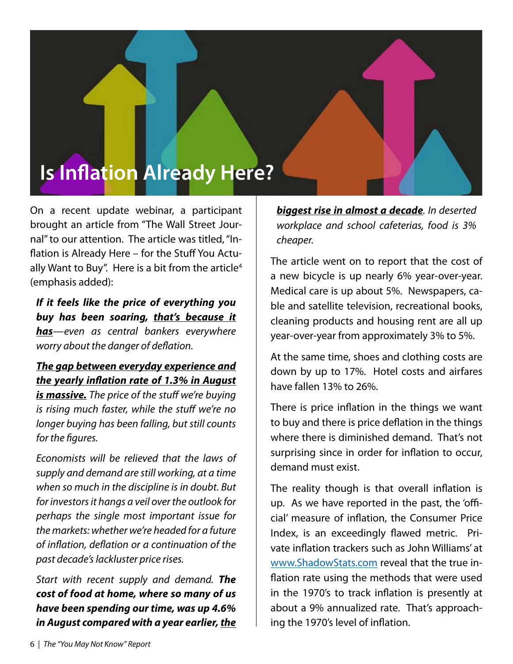# **Is Inflation Already Here?**

On a recent update webinar, a participant brought an article from "The Wall Street Journal" to our attention. The article was titled, "Inflation is Already Here – for the Stuff You Actually Want to Buy". Here is a bit from the article<sup>4</sup> (emphasis added):

*If it feels like the price of everything you buy has been soaring, that's because it has—even as central bankers everywhere worry about the danger of deflation.*

#### *The gap between everyday experience and the yearly inflation rate of 1.3% in August*

*is massive. The price of the stuff we're buying is rising much faster, while the stuff we're no longer buying has been falling, but still counts for the figures.*

*Economists will be relieved that the laws of supply and demand are still working, at a time when so much in the discipline is in doubt. But for investors it hangs a veil over the outlook for perhaps the single most important issue for the markets: whether we're headed for a future of inflation, deflation or a continuation of the past decade's lackluster price rises.*

*Start with recent supply and demand. The cost of food at home, where so many of us have been spending our time, was up 4.6% in August compared with a year earlier, the* *biggest rise in almost a decade. In deserted workplace and school cafeterias, food is 3% cheaper.*

The article went on to report that the cost of a new bicycle is up nearly 6% year-over-year. Medical care is up about 5%. Newspapers, cable and satellite television, recreational books, cleaning products and housing rent are all up year-over-year from approximately 3% to 5%.

At the same time, shoes and clothing costs are down by up to 17%. Hotel costs and airfares have fallen 13% to 26%.

There is price inflation in the things we want to buy and there is price deflation in the things where there is diminished demand. That's not surprising since in order for inflation to occur, demand must exist.

The reality though is that overall inflation is up. As we have reported in the past, the 'official' measure of inflation, the Consumer Price Index, is an exceedingly flawed metric. Private inflation trackers such as John Williams' at www.ShadowStats.com reveal that the true inflation rate using the methods that were used in the 1970's to track inflation is presently at about a 9% annualized rate. That's approaching the 1970's level of inflation.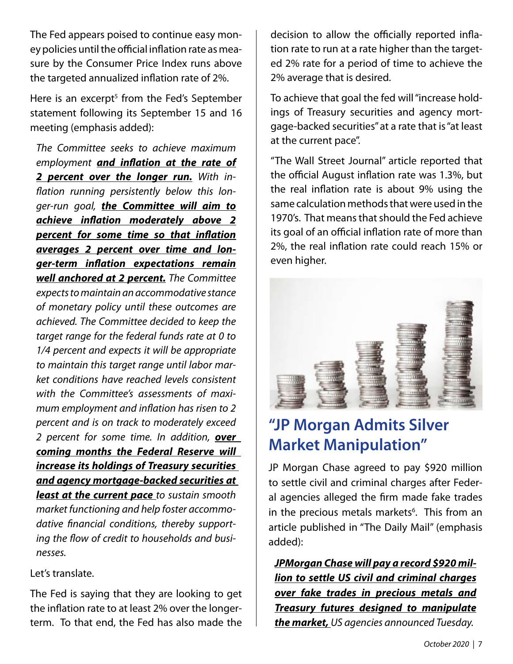The Fed appears poised to continue easy money policies until the official inflation rate as measure by the Consumer Price Index runs above the targeted annualized inflation rate of 2%.

Here is an excerpt<sup>5</sup> from the Fed's September statement following its September 15 and 16 meeting (emphasis added):

*The Committee seeks to achieve maximum employment and inflation at the rate of 2 percent over the longer run. With inflation running persistently below this longer-run goal, the Committee will aim to achieve inflation moderately above 2 percent for some time so that inflation averages 2 percent over time and longer-term inflation expectations remain well anchored at 2 percent. The Committee expects to maintain an accommodative stance of monetary policy until these outcomes are achieved. The Committee decided to keep the target range for the federal funds rate at 0 to 1/4 percent and expects it will be appropriate to maintain this target range until labor market conditions have reached levels consistent with the Committee's assessments of maximum employment and inflation has risen to 2 percent and is on track to moderately exceed 2 percent for some time. In addition, over coming months the Federal Reserve will increase its holdings of Treasury securities and agency mortgage-backed securities at least at the current pace to sustain smooth market functioning and help foster accommodative financial conditions, thereby supporting the flow of credit to households and businesses.*

#### Let's translate.

The Fed is saying that they are looking to get the inflation rate to at least 2% over the longerterm. To that end, the Fed has also made the decision to allow the officially reported inflation rate to run at a rate higher than the targeted 2% rate for a period of time to achieve the 2% average that is desired.

To achieve that goal the fed will "increase holdings of Treasury securities and agency mortgage-backed securities" at a rate that is "at least at the current pace".

"The Wall Street Journal" article reported that the official August inflation rate was 1.3%, but the real inflation rate is about 9% using the same calculation methods that were used in the 1970's. That means that should the Fed achieve its goal of an official inflation rate of more than 2%, the real inflation rate could reach 15% or even higher.



# **"JP Morgan Admits Silver Market Manipulation"**

JP Morgan Chase agreed to pay \$920 million to settle civil and criminal charges after Federal agencies alleged the firm made fake trades in the precious metals markets<sup>6</sup>. This from an article published in "The Daily Mail" (emphasis added):

*JPMorgan Chase will pay a record \$920 million to settle US civil and criminal charges over fake trades in precious metals and Treasury futures designed to manipulate the market, US agencies announced Tuesday.*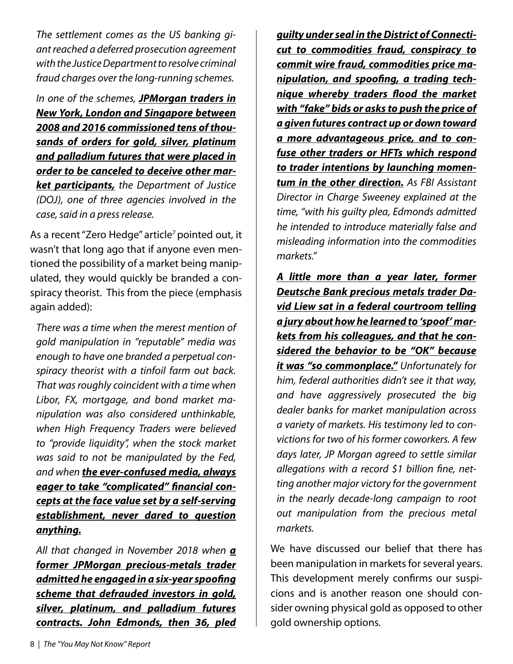*The settlement comes as the US banking giant reached a deferred prosecution agreement with the Justice Department to resolve criminal fraud charges over the long-running schemes.*

*In one of the schemes, JPMorgan traders in New York, London and Singapore between 2008 and 2016 commissioned tens of thousands of orders for gold, silver, platinum and palladium futures that were placed in order to be canceled to deceive other market participants, the Department of Justice (DOJ), one of three agencies involved in the case, said in a press release.*

As a recent "Zero Hedge" article<sup>7</sup> pointed out, it wasn't that long ago that if anyone even mentioned the possibility of a market being manipulated, they would quickly be branded a conspiracy theorist. This from the piece (emphasis again added):

*There was a time when the merest mention of gold manipulation in "reputable" media was enough to have one branded a perpetual conspiracy theorist with a tinfoil farm out back. That was roughly coincident with a time when Libor, FX, mortgage, and bond market manipulation was also considered unthinkable, when High Frequency Traders were believed to "provide liquidity", when the stock market was said to not be manipulated by the Fed, and when the ever-confused media, always eager to take "complicated" financial concepts at the face value set by a self-serving establishment, never dared to question anything.*

*All that changed in November 2018 when a former JPMorgan precious-metals trader admitted he engaged in a six-year spoofing scheme that defrauded investors in gold, silver, platinum, and palladium futures contracts. John Edmonds, then 36, pled* *guilty under seal in the District of Connecticut to commodities fraud, conspiracy to commit wire fraud, commodities price manipulation, and spoofing, a trading technique whereby traders flood the market with "fake" bids or asks to push the price of a given futures contract up or down toward a more advantageous price, and to confuse other traders or HFTs which respond to trader intentions by launching momentum in the other direction. As FBI Assistant Director in Charge Sweeney explained at the time, "with his guilty plea, Edmonds admitted he intended to introduce materially false and misleading information into the commodities markets."*

*A little more than a year later, former Deutsche Bank precious metals trader David Liew sat in a federal courtroom telling a jury about how he learned to 'spoof' markets from his colleagues, and that he considered the behavior to be "OK" because it was "so commonplace." Unfortunately for him, federal authorities didn't see it that way, and have aggressively prosecuted the big dealer banks for market manipulation across a variety of markets. His testimony led to convictions for two of his former coworkers. A few days later, JP Morgan agreed to settle similar allegations with a record \$1 billion fine, netting another major victory for the government in the nearly decade-long campaign to root out manipulation from the precious metal markets.*

We have discussed our belief that there has been manipulation in markets for several years. This development merely confirms our suspicions and is another reason one should consider owning physical gold as opposed to other gold ownership options.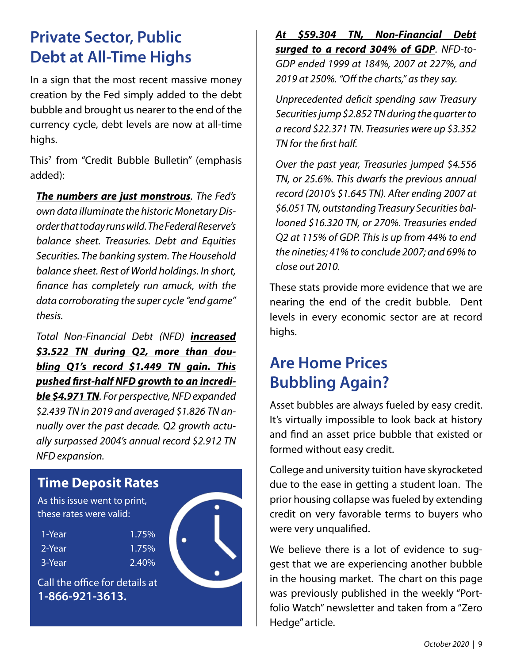## **Private Sector, Public Debt at All-Time Highs**

In a sign that the most recent massive money creation by the Fed simply added to the debt bubble and brought us nearer to the end of the currency cycle, debt levels are now at all-time highs.

This7 from "Credit Bubble Bulletin" (emphasis added):

*The numbers are just monstrous. The Fed's own data illuminate the historic Monetary Disorder that today runs wild. The Federal Reserve's balance sheet. Treasuries. Debt and Equities Securities. The banking system. The Household balance sheet. Rest of World holdings. In short, finance has completely run amuck, with the data corroborating the super cycle "end game" thesis.* 

*Total Non-Financial Debt (NFD) increased \$3.522 TN during Q2, more than doubling Q1's record \$1.449 TN gain. This pushed first-half NFD growth to an incredible \$4.971 TN. For perspective, NFD expanded \$2.439 TN in 2019 and averaged \$1.826 TN annually over the past decade. Q2 growth actually surpassed 2004's annual record \$2.912 TN NFD expansion.*

#### **Time Deposit Rates**

As this issue went to print, these rates were valid:

| 1-Year | 1.75% |
|--------|-------|
| 2-Year | 1.75% |
| 3-Year | 2.40% |

Call the office for details at **1-866-921-3613.**



*At \$59.304 TN, Non-Financial Debt surged to a record 304% of GDP. NFD-to-GDP ended 1999 at 184%, 2007 at 227%, and 2019 at 250%. "Off the charts," as they say.*

*Unprecedented deficit spending saw Treasury Securities jump \$2.852 TN during the quarter to a record \$22.371 TN. Treasuries were up \$3.352 TN for the first half.* 

*Over the past year, Treasuries jumped \$4.556 TN, or 25.6%. This dwarfs the previous annual record (2010's \$1.645 TN). After ending 2007 at \$6.051 TN, outstanding Treasury Securities ballooned \$16.320 TN, or 270%. Treasuries ended Q2 at 115% of GDP. This is up from 44% to end the nineties; 41% to conclude 2007; and 69% to close out 2010.*

These stats provide more evidence that we are nearing the end of the credit bubble. Dent levels in every economic sector are at record highs.

## **Are Home Prices Bubbling Again?**

Asset bubbles are always fueled by easy credit. It's virtually impossible to look back at history and find an asset price bubble that existed or formed without easy credit.

College and university tuition have skyrocketed due to the ease in getting a student loan. The prior housing collapse was fueled by extending credit on very favorable terms to buyers who were very unqualified.

We believe there is a lot of evidence to suggest that we are experiencing another bubble in the housing market. The chart on this page was previously published in the weekly "Portfolio Watch" newsletter and taken from a "Zero Hedge" article.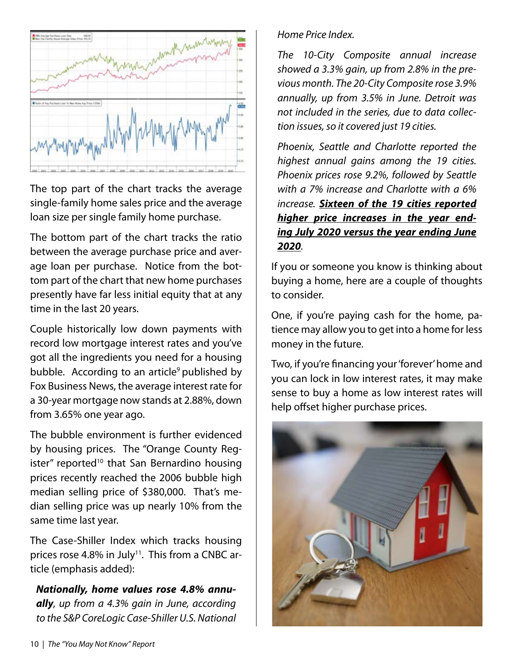

The top part of the chart tracks the average single-family home sales price and the average loan size per single family home purchase.

The bottom part of the chart tracks the ratio between the average purchase price and average loan per purchase. Notice from the bottom part of the chart that new home purchases presently have far less initial equity that at any time in the last 20 years.

Couple historically low down payments with record low mortgage interest rates and you've got all the ingredients you need for a housing bubble. According to an article<sup>9</sup> published by Fox Business News, the average interest rate for a 30-year mortgage now stands at 2.88%, down from 3.65% one year ago.

The bubble environment is further evidenced by housing prices. The "Orange County Register" reported<sup>10</sup> that San Bernardino housing prices recently reached the 2006 bubble high median selling price of \$380,000. That's median selling price was up nearly 10% from the same time last year.

The Case-Shiller Index which tracks housing prices rose 4.8% in July<sup>11</sup>. This from a CNBC article (emphasis added):

*Nationally, home values rose 4.8% annually, up from a 4.3% gain in June, according to the S&P CoreLogic Case-Shiller U.S. National* 

#### *Home Price Index.*

*The 10-City Composite annual increase showed a 3.3% gain, up from 2.8% in the previous month. The 20-City Composite rose 3.9% annually, up from 3.5% in June. Detroit was not included in the series, due to data collection issues, so it covered just 19 cities.*

*Phoenix, Seattle and Charlotte reported the highest annual gains among the 19 cities. Phoenix prices rose 9.2%, followed by Seattle with a 7% increase and Charlotte with a 6% increase. Sixteen of the 19 cities reported higher price increases in the year ending July 2020 versus the year ending June 2020.*

If you or someone you know is thinking about buying a home, here are a couple of thoughts to consider.

One, if you're paying cash for the home, patience may allow you to get into a home for less money in the future.

Two, if you're financing your 'forever' home and you can lock in low interest rates, it may make sense to buy a home as low interest rates will help offset higher purchase prices.

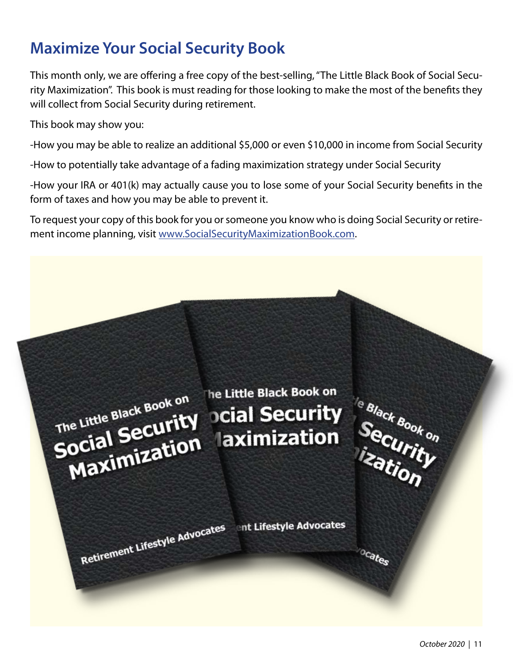## **Maximize Your Social Security Book**

This month only, we are offering a free copy of the best-selling, "The Little Black Book of Social Security Maximization". This book is must reading for those looking to make the most of the benefits they will collect from Social Security during retirement.

This book may show you:

-How you may be able to realize an additional \$5,000 or even \$10,000 in income from Social Security

-How to potentially take advantage of a fading maximization strategy under Social Security

-How your IRA or 401(k) may actually cause you to lose some of your Social Security benefits in the form of taxes and how you may be able to prevent it.

To request your copy of this book for you or someone you know who is doing Social Security or retirement income planning, visit www.SocialSecurityMaximizationBook.com.